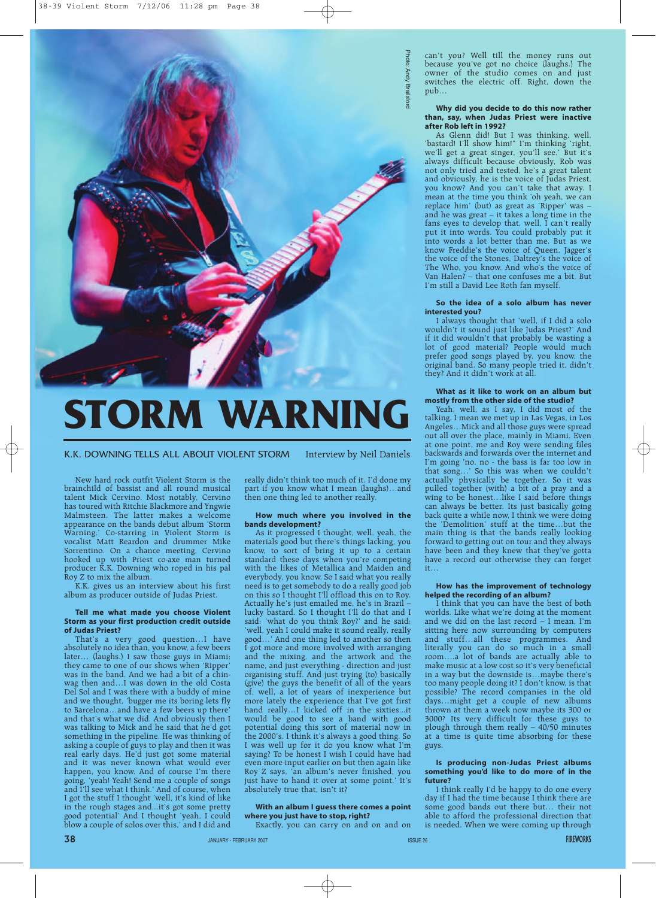

# **STORM WARNI**

New hard rock outfit Violent Storm is the brainchild of bassist and all round musical talent Mick Cervino. Most notably, Cervino has toured with Ritchie Blackmore and Yngwie Malmsteen. The latter makes a welcome appearance on the bands debut album 'Storm Warning.' Co-starring in Violent Storm is vocalist Matt Reardon and drummer Mike Sorrentino. On a chance meeting, Cervino hooked up with Priest co-axe man turned producer K.K. Downing who roped in his pal Roy Z to mix the album.

K.K. gives us an interview about his first album as producer outside of Judas Priest.

# **Tell me what made you choose Violent Storm as your first production credit outside of Judas Priest?**

That's a very good question…I have absolutely no idea than, you know, a few beers later… (laughs.) I saw those guys in Miami; they came to one of our shows when 'Ripper' was in the band. And we had a bit of a chinwag then and…I was down in the old Costa Del Sol and I was there with a buddy of mine and we thought, 'bugger me its boring lets fly to Barcelona…and have a few beers up there' and that's what we did. And obviously then I was talking to Mick and he said that he'd got something in the pipeline. He was thinking of asking a couple of guys to play and then it was real early days. He'd just got some material and it was never known what would ever happen, you know. And of course I'm there going, 'yeah! Yeah! Send me a couple of songs and I'll see what I think.' And of course, when I got the stuff I thought 'well, it's kind of like in the rough stages and...it's got some pretty good potential' And I thought 'yeah, I could blow a couple of solos over this,' and I did and

really didn't think too much of it. I'd done my part if you know what I mean (laughs)…and then one thing led to another really.

## **How much where you involved in the bands development?**

As it progressed I thought, well, yeah, the materials good but there's things lacking, you know, to sort of bring it up to a certain standard these days when you're competing with the likes of Metallica and Maiden and everybody, you know. So I said what you really need is to get somebody to do a really good job on this so I thought I'll offload this on to Roy. Actually he's just emailed me, he's in Brazil – lucky bastard. So I thought I'll do that and I said: 'what do you think Roy?' and he said: 'well, yeah I could make it sound really, really good…' And one thing led to another so then I got more and more involved with arranging and the mixing, and the artwork and the name, and just everything - direction and just organising stuff. And just trying (to) basically (give) the guys the benefit of all of the years of, well, a lot of years of inexperience but more lately the experience that I've got first hand really...I kicked off in the sixties...it would be good to see a band with good potential doing this sort of material now in the 2000's. I think it's always a good thing. So I was well up for it do you know what I'm saying? To be honest I wish I could have had even more input earlier on but then again like Roy Z says, 'an album's never finished, you just have to hand it over at some point.' It's absolutely true that, isn't it?

# **With an album I guess there comes a point where you just have to stop, right?**

Exactly, you can carry on and on and on

can't you? Well till the money runs out because you've got no choice (laughs.) The owner of the studio comes on and just switches the electric off. Right, down the pub…

## **Why did you decide to do this now rather than, say, when Judas Priest were inactive after Rob left in 1992?**

As Glenn did! But I was thinking, well, 'bastard! I'll show him!" I'm thinking 'right, we'll get a great singer, you'll see.' But it's always difficult because obviously, Rob was not only tried and tested, he's a great talent and obviously, he is the voice of Judas Priest, you know? And you can't take that away. I mean at the time you think 'oh yeah, we can replace him' (but) as great as 'Ripper' was – and he was great – it takes a long time in the fans eyes to develop that, well, I can't really put it into words. You could probably put it into words a lot better than me. But as we know Freddie's the voice of Queen, Jagger's the voice of the Stones, Daltrey's the voice of The Who, you know. And who's the voice of Van Halen? – that one confuses me a bit. But I'm still a David Lee Roth fan myself.

# **So the idea of a solo album has never interested you?**

I always thought that 'well, if I did a solo wouldn't it sound just like Judas Priest?' And if it did wouldn't that probably be wasting a lot of good material? People would much prefer good songs played by, you know, the original band. So many people tried it, didn't they? And it didn't work at all.

## **What as it like to work on an album but mostly from the other side of the studio?**

Yeah, well, as I say, I did most of the talking. I mean we met up in Las Vegas, in Los Angeles…Mick and all those guys were spread out all over the place, mainly in Miami. Even at one point, me and Roy were sending files backwards and forwards over the internet and I'm going 'no, no - the bass is far too low in that song…' So this was when we couldn't actually physically be together. So it was pulled together (with) a bit of a pray and a wing to be honest…like I said before things can always be better. Its just basically going back quite a while now, I think we were doing the 'Demolition' stuff at the time…but the main thing is that the bands really looking forward to getting out on tour and they always have been and they knew that they've gotta have a record out otherwise they can forget it…

## **How has the improvement of technology helped the recording of an album?**

I think that you can have the best of both worlds. Like what we're doing at the moment and we did on the last record – I mean, I'm sitting here now surrounding by computers and stuff…all these programmes. And literally you can do so much in a small room….a lot of bands are actually able to make music at a low cost so it's very beneficial in a way but the downside is…maybe there's too many people doing it? I don't know, is that possible? The record companies in the old days…might get a couple of new albums thrown at them a week now maybe its 300 or 3000? Its very difficult for these guys to plough through them really – 40/50 minutes at a time is quite time absorbing for these guys.

## **Is producing non-Judas Priest albums something you'd like to do more of in the future?**

I think really I'd be happy to do one every day if I had the time because I think there are some good bands out there but… their not able to afford the professional direction that is needed. When we were coming up through